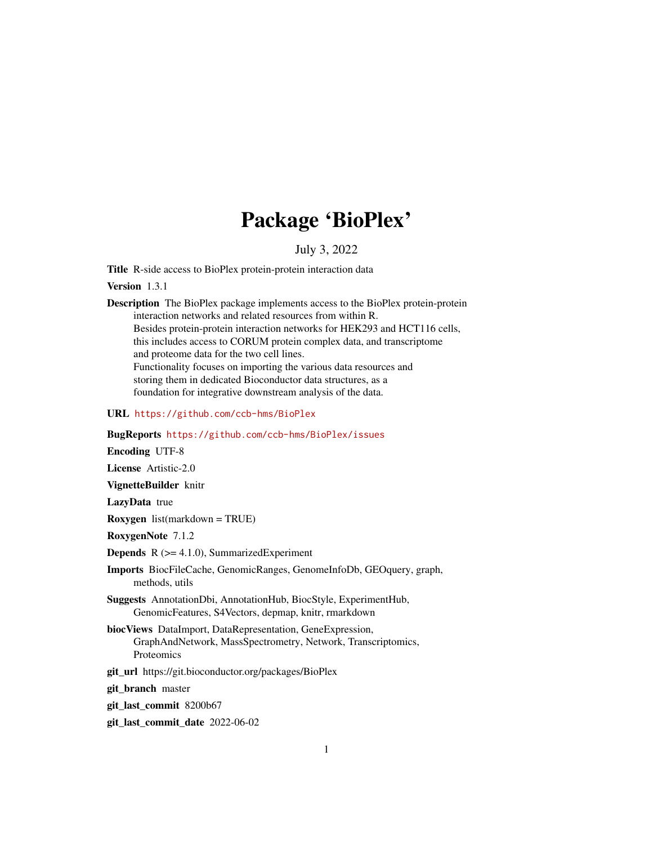# Package 'BioPlex'

#### July 3, 2022

<span id="page-0-0"></span>Title R-side access to BioPlex protein-protein interaction data

Version 1.3.1

Description The BioPlex package implements access to the BioPlex protein-protein interaction networks and related resources from within R. Besides protein-protein interaction networks for HEK293 and HCT116 cells, this includes access to CORUM protein complex data, and transcriptome and proteome data for the two cell lines. Functionality focuses on importing the various data resources and storing them in dedicated Bioconductor data structures, as a foundation for integrative downstream analysis of the data.

URL <https://github.com/ccb-hms/BioPlex>

BugReports <https://github.com/ccb-hms/BioPlex/issues>

Encoding UTF-8

License Artistic-2.0

VignetteBuilder knitr

LazyData true

Roxygen list(markdown = TRUE)

RoxygenNote 7.1.2

**Depends**  $R$  ( $>= 4.1.0$ ), SummarizedExperiment

- Imports BiocFileCache, GenomicRanges, GenomeInfoDb, GEOquery, graph, methods, utils
- Suggests AnnotationDbi, AnnotationHub, BiocStyle, ExperimentHub, GenomicFeatures, S4Vectors, depmap, knitr, rmarkdown
- biocViews DataImport, DataRepresentation, GeneExpression, GraphAndNetwork, MassSpectrometry, Network, Transcriptomics, Proteomics
- git\_url https://git.bioconductor.org/packages/BioPlex

git branch master

git\_last\_commit 8200b67

git\_last\_commit\_date 2022-06-02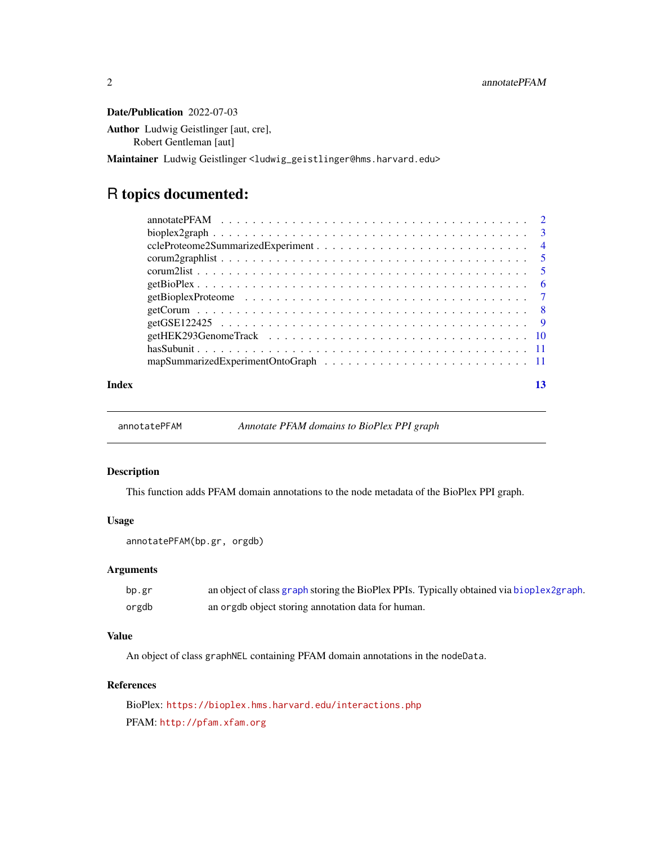<span id="page-1-0"></span>Date/Publication 2022-07-03

Author Ludwig Geistlinger [aut, cre], Robert Gentleman [aut]

Maintainer Ludwig Geistlinger <ludwig\_geistlinger@hms.harvard.edu>

## R topics documented:

| Index | 13 |  |
|-------|----|--|
|       |    |  |

annotatePFAM *Annotate PFAM domains to BioPlex PPI graph*

#### Description

This function adds PFAM domain annotations to the node metadata of the BioPlex PPI graph.

#### Usage

```
annotatePFAM(bp.gr, orgdb)
```
#### Arguments

| bp.gr | an object of class graph storing the BioPlex PPIs. Typically obtained via bioplex2graph. |
|-------|------------------------------------------------------------------------------------------|
| orgdb | an orgdb object storing annotation data for human.                                       |

#### Value

An object of class graphNEL containing PFAM domain annotations in the nodeData.

#### References

BioPlex: <https://bioplex.hms.harvard.edu/interactions.php> PFAM: <http://pfam.xfam.org>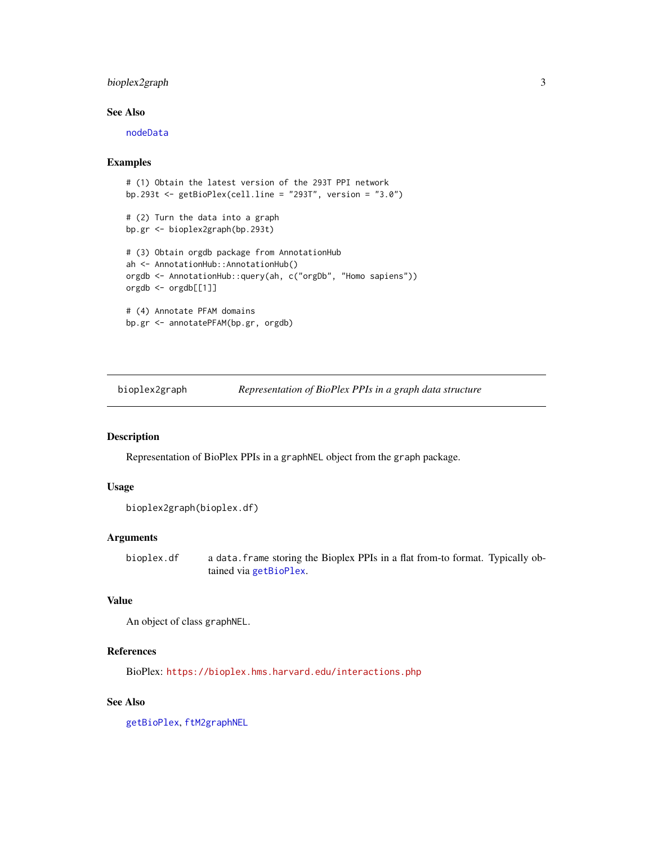#### <span id="page-2-0"></span>bioplex2graph 3

#### See Also

[nodeData](#page-0-0)

#### Examples

```
# (1) Obtain the latest version of the 293T PPI network
bp.293t <- getBioPlex(cell.line = "293T", version = "3.0")
# (2) Turn the data into a graph
bp.gr <- bioplex2graph(bp.293t)
# (3) Obtain orgdb package from AnnotationHub
ah <- AnnotationHub::AnnotationHub()
orgdb <- AnnotationHub::query(ah, c("orgDb", "Homo sapiens"))
orgdb <- orgdb[[1]]
# (4) Annotate PFAM domains
bp.gr <- annotatePFAM(bp.gr, orgdb)
```
<span id="page-2-1"></span>bioplex2graph *Representation of BioPlex PPIs in a graph data structure*

#### Description

Representation of BioPlex PPIs in a graphNEL object from the graph package.

#### Usage

```
bioplex2graph(bioplex.df)
```
#### Arguments

bioplex.df a data.frame storing the Bioplex PPIs in a flat from-to format. Typically obtained via [getBioPlex](#page-5-1).

#### Value

An object of class graphNEL.

#### References

BioPlex: <https://bioplex.hms.harvard.edu/interactions.php>

#### See Also

[getBioPlex](#page-5-1), [ftM2graphNEL](#page-0-0)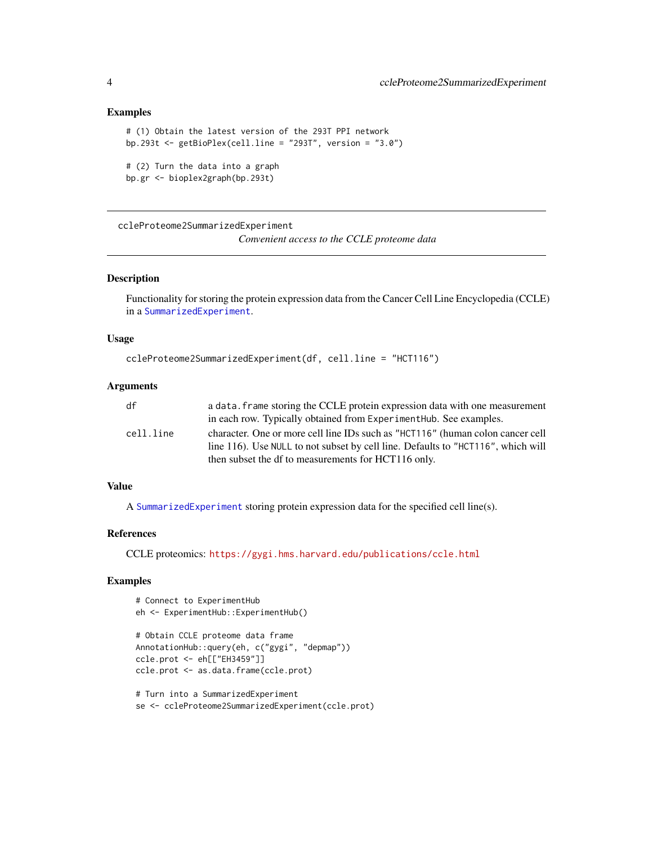#### Examples

```
# (1) Obtain the latest version of the 293T PPI network
bp.293t \leq getBioPlex(cell.line = "293T", version = "3.0")
# (2) Turn the data into a graph
bp.gr <- bioplex2graph(bp.293t)
```
ccleProteome2SummarizedExperiment

*Convenient access to the CCLE proteome data*

#### Description

Functionality for storing the protein expression data from the Cancer Cell Line Encyclopedia (CCLE) in a [SummarizedExperiment](#page-0-0).

#### Usage

```
ccleProteome2SummarizedExperiment(df, cell.line = "HCT116")
```
#### Arguments

| df        | a data. frame storing the CCLE protein expression data with one measurement                                                                                        |
|-----------|--------------------------------------------------------------------------------------------------------------------------------------------------------------------|
|           | in each row. Typically obtained from ExperimentHub. See examples.                                                                                                  |
| cell.line | character. One or more cell line IDs such as "HCT116" (human colon cancer cell<br>line 116). Use NULL to not subset by cell line. Defaults to "HCT116", which will |
|           | then subset the df to measurements for HCT116 only.                                                                                                                |

#### Value

A [SummarizedExperiment](#page-0-0) storing protein expression data for the specified cell line(s).

#### References

CCLE proteomics: <https://gygi.hms.harvard.edu/publications/ccle.html>

#### Examples

```
# Connect to ExperimentHub
eh <- ExperimentHub::ExperimentHub()
# Obtain CCLE proteome data frame
AnnotationHub::query(eh, c("gygi", "depmap"))
ccle.prot <- eh[["EH3459"]]
ccle.prot <- as.data.frame(ccle.prot)
# Turn into a SummarizedExperiment
```
<span id="page-3-0"></span>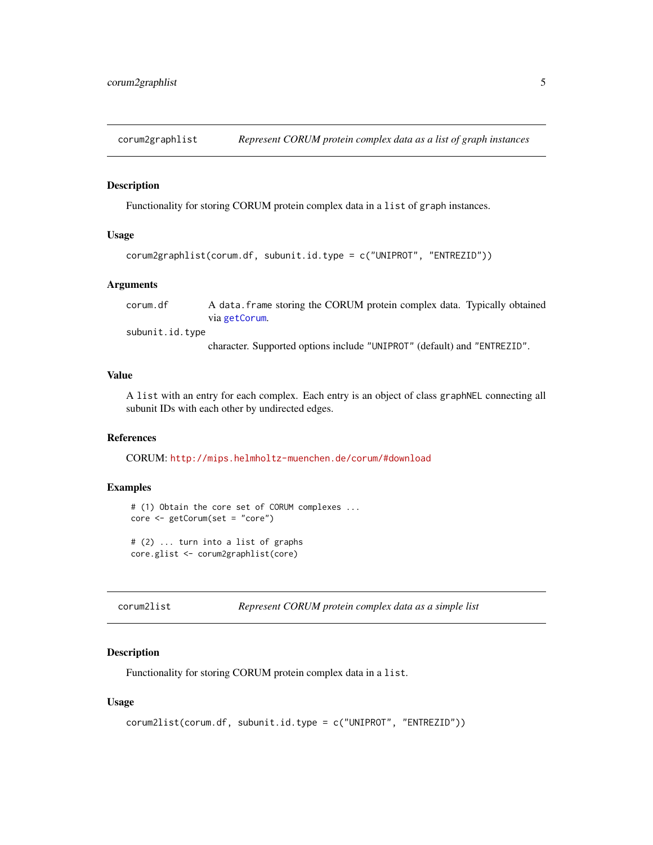<span id="page-4-1"></span><span id="page-4-0"></span>corum2graphlist *Represent CORUM protein complex data as a list of graph instances*

#### Description

Functionality for storing CORUM protein complex data in a list of graph instances.

#### Usage

```
corum2graphlist(corum.df, subunit.id.type = c("UNIPROT", "ENTREZID"))
```
#### Arguments

corum.df A data.frame storing the CORUM protein complex data. Typically obtained via [getCorum](#page-7-1).

subunit.id.type

character. Supported options include "UNIPROT" (default) and "ENTREZID".

#### Value

A list with an entry for each complex. Each entry is an object of class graphNEL connecting all subunit IDs with each other by undirected edges.

#### References

CORUM: <http://mips.helmholtz-muenchen.de/corum/#download>

#### Examples

```
# (1) Obtain the core set of CORUM complexes ...
core <- getCorum(set = "core")
# (2) ... turn into a list of graphs
core.glist <- corum2graphlist(core)
```

| Represent CORUM protein complex data as a simple list<br>corum2list |  |
|---------------------------------------------------------------------|--|
|---------------------------------------------------------------------|--|

#### Description

Functionality for storing CORUM protein complex data in a list.

#### Usage

```
corum2list(corum.df, subunit.id.type = c("UNIPROT", "ENTREZID"))
```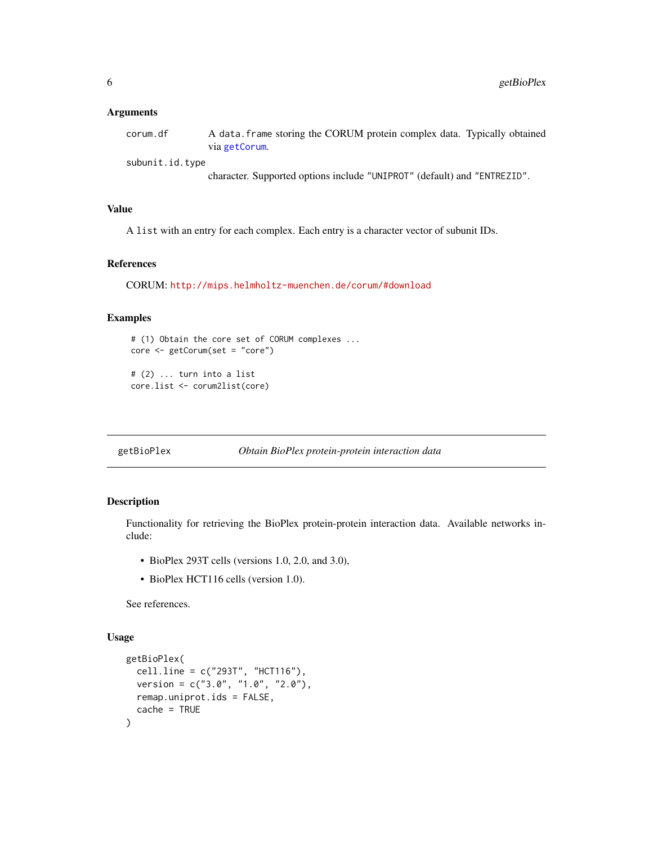#### <span id="page-5-0"></span>**Arguments**

| corum.df | A data frame storing the CORUM protein complex data. Typically obtained |
|----------|-------------------------------------------------------------------------|
|          | via getCorum.                                                           |

subunit.id.type

character. Supported options include "UNIPROT" (default) and "ENTREZID".

#### Value

A list with an entry for each complex. Each entry is a character vector of subunit IDs.

#### References

CORUM: <http://mips.helmholtz-muenchen.de/corum/#download>

#### Examples

```
# (1) Obtain the core set of CORUM complexes ...
core <- getCorum(set = "core")
# (2) ... turn into a list
```
core.list <- corum2list(core)

<span id="page-5-1"></span>getBioPlex *Obtain BioPlex protein-protein interaction data*

#### Description

Functionality for retrieving the BioPlex protein-protein interaction data. Available networks include:

- BioPlex 293T cells (versions 1.0, 2.0, and 3.0),
- BioPlex HCT116 cells (version 1.0).

See references.

#### Usage

```
getBioPlex(
  cell.line = c("293T", "HCT116"),
  version = c("3.0", "1.0", "2.0"),
  remap.uniprot.ids = FALSE,
  cache = TRUE
)
```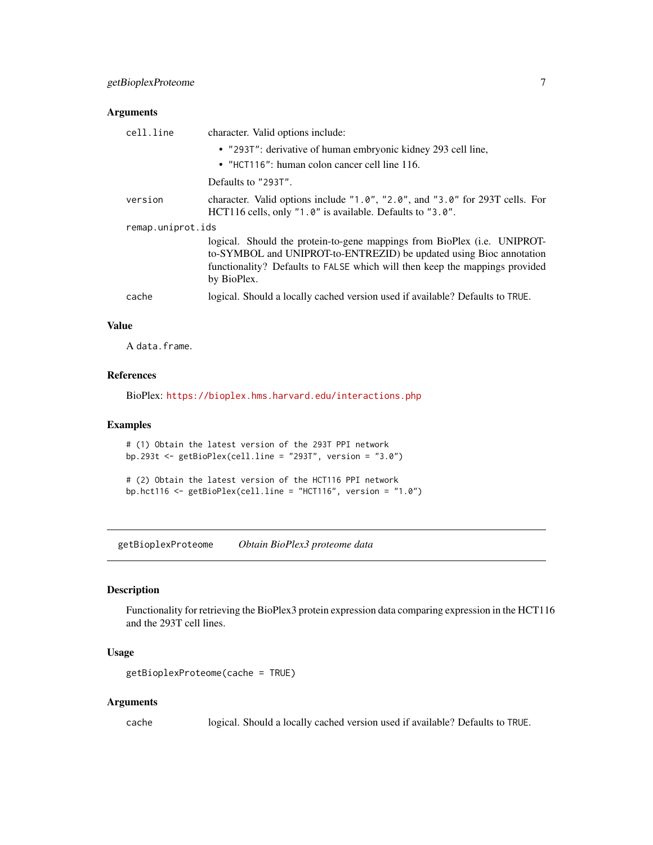#### <span id="page-6-0"></span>Arguments

| cell.line         | character. Valid options include:                                                                                                                                                                                                             |  |
|-------------------|-----------------------------------------------------------------------------------------------------------------------------------------------------------------------------------------------------------------------------------------------|--|
|                   | • "2937": derivative of human embryonic kidney 293 cell line,                                                                                                                                                                                 |  |
|                   | • "HCT116": human colon cancer cell line 116.                                                                                                                                                                                                 |  |
|                   | Defaults to "293T".                                                                                                                                                                                                                           |  |
| version           | character. Valid options include $"1.0", "2.0",$ and "3.0" for 293T cells. For<br>HCT116 cells, only "1.0" is available. Defaults to "3.0".                                                                                                   |  |
| remap.uniprot.ids |                                                                                                                                                                                                                                               |  |
|                   | logical. Should the protein-to-gene mappings from BioPlex (i.e. UNIPROT-<br>to-SYMBOL and UNIPROT-to-ENTREZID) be updated using Bioc annotation<br>functionality? Defaults to FALSE which will then keep the mappings provided<br>by BioPlex. |  |
| cache             | logical. Should a locally cached version used if available? Defaults to TRUE.                                                                                                                                                                 |  |

#### Value

A data.frame.

#### References

BioPlex: <https://bioplex.hms.harvard.edu/interactions.php>

#### Examples

```
# (1) Obtain the latest version of the 293T PPI network
bp.293t <- getBioPlex(cell.line = "293T", version = "3.0")
```

```
# (2) Obtain the latest version of the HCT116 PPI network
bp.hct116 <- getBioPlex(cell.line = "HCT116", version = "1.0")
```
getBioplexProteome *Obtain BioPlex3 proteome data*

#### Description

Functionality for retrieving the BioPlex3 protein expression data comparing expression in the HCT116 and the 293T cell lines.

#### Usage

```
getBioplexProteome(cache = TRUE)
```
#### Arguments

cache logical. Should a locally cached version used if available? Defaults to TRUE.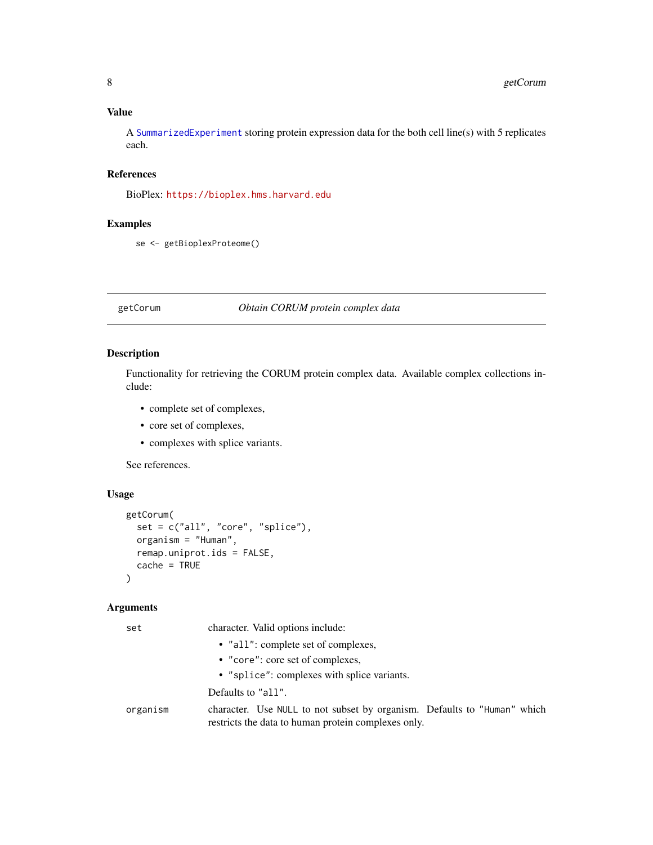#### <span id="page-7-0"></span>Value

A [SummarizedExperiment](#page-0-0) storing protein expression data for the both cell line(s) with 5 replicates each.

#### References

BioPlex: <https://bioplex.hms.harvard.edu>

#### Examples

```
se <- getBioplexProteome()
```
<span id="page-7-1"></span>getCorum *Obtain CORUM protein complex data*

#### Description

Functionality for retrieving the CORUM protein complex data. Available complex collections include:

- complete set of complexes,
- core set of complexes,
- complexes with splice variants.

See references.

### Usage

```
getCorum(
  set = c("all", "core", "splice"),
 organism = "Human",
  remap.uniprot.ids = FALSE,
  cache = TRUE
)
```
#### Arguments

| set      | character. Valid options include:                                                                                               |
|----------|---------------------------------------------------------------------------------------------------------------------------------|
|          | • "all": complete set of complexes,                                                                                             |
|          | • "core": core set of complexes,                                                                                                |
|          | • "splice": complexes with splice variants.                                                                                     |
|          | Defaults to "all".                                                                                                              |
| organism | character. Use NULL to not subset by organism. Defaults to "Human" which<br>restricts the data to human protein complexes only. |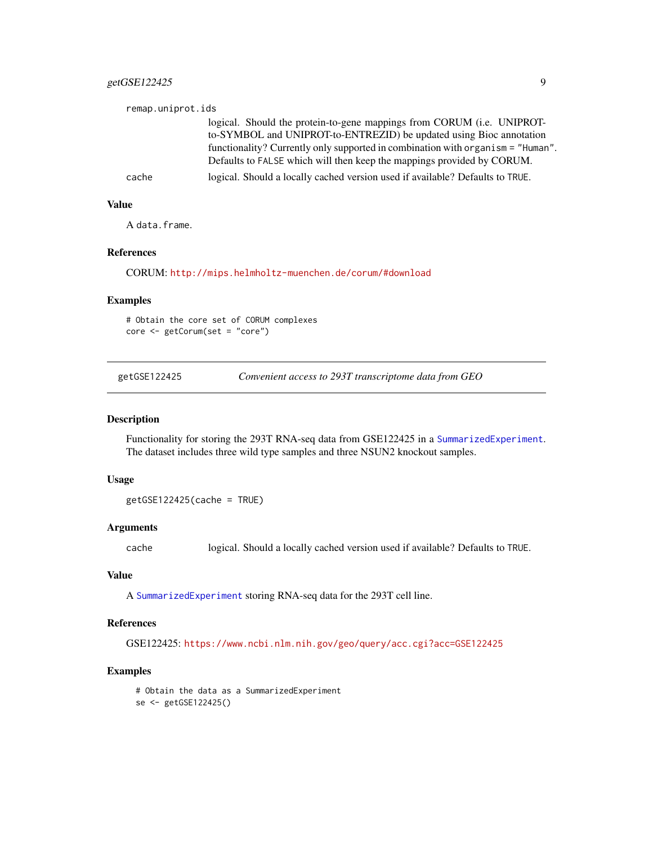#### <span id="page-8-0"></span>getGSE122425 9

| remap.uniprot.ids |                                                                                 |
|-------------------|---------------------------------------------------------------------------------|
|                   | logical. Should the protein-to-gene mappings from CORUM (i.e. UNIPROT-          |
|                   | to-SYMBOL and UNIPROT-to-ENTREZID) be updated using Bioc annotation             |
|                   | functionality? Currently only supported in combination with organism = "Human". |
|                   | Defaults to FALSE which will then keep the mappings provided by CORUM.          |
| cache             | logical. Should a locally cached version used if available? Defaults to TRUE.   |

#### Value

A data.frame.

#### References

CORUM: <http://mips.helmholtz-muenchen.de/corum/#download>

#### Examples

# Obtain the core set of CORUM complexes core <- getCorum(set = "core")

getGSE122425 *Convenient access to 293T transcriptome data from GEO*

#### Description

Functionality for storing the 293T RNA-seq data from GSE122425 in a [SummarizedExperiment](#page-0-0). The dataset includes three wild type samples and three NSUN2 knockout samples.

#### Usage

getGSE122425(cache = TRUE)

#### Arguments

cache logical. Should a locally cached version used if available? Defaults to TRUE.

#### Value

A [SummarizedExperiment](#page-0-0) storing RNA-seq data for the 293T cell line.

#### References

GSE122425: <https://www.ncbi.nlm.nih.gov/geo/query/acc.cgi?acc=GSE122425>

#### Examples

# Obtain the data as a SummarizedExperiment se <- getGSE122425()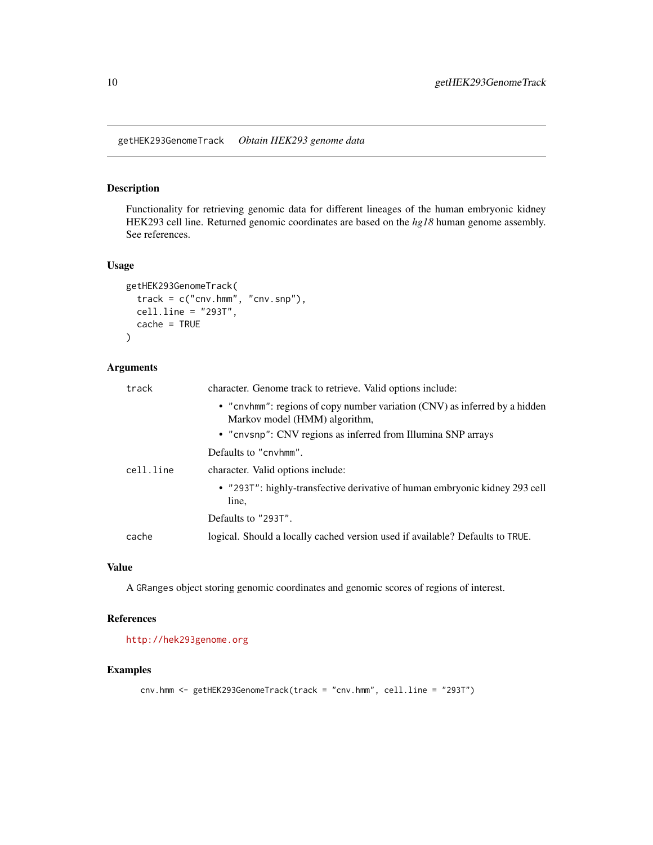<span id="page-9-0"></span>getHEK293GenomeTrack *Obtain HEK293 genome data*

#### Description

Functionality for retrieving genomic data for different lineages of the human embryonic kidney HEK293 cell line. Returned genomic coordinates are based on the *hg18* human genome assembly. See references.

#### Usage

```
getHEK293GenomeTrack(
 track = c("cnv.hmm", "cnv.snp"),
 cell.line = "293T",
 cache = TRUE)
```
#### Arguments

| track     | character. Genome track to retrieve. Valid options include:                                                 |
|-----------|-------------------------------------------------------------------------------------------------------------|
|           | • "cnvhmm": regions of copy number variation (CNV) as inferred by a hidden<br>Markov model (HMM) algorithm, |
|           | • "cnvsnp": CNV regions as inferred from Illumina SNP arrays                                                |
|           | Defaults to "cnyhmm".                                                                                       |
| cell.line | character. Valid options include:                                                                           |
|           | • "293T": highly-transfective derivative of human embryonic kidney 293 cell<br>line,                        |
|           | Defaults to "293T".                                                                                         |
| cache     | logical. Should a locally cached version used if available? Defaults to TRUE.                               |

#### Value

A GRanges object storing genomic coordinates and genomic scores of regions of interest.

#### References

<http://hek293genome.org>

#### Examples

```
cnv.hmm <- getHEK293GenomeTrack(track = "cnv.hmm", cell.line = "293T")
```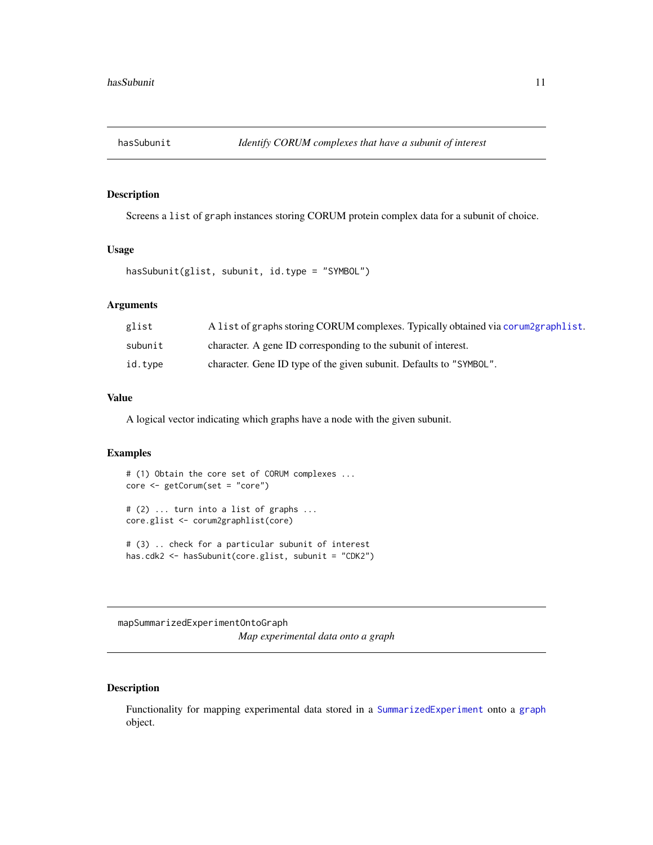<span id="page-10-0"></span>

#### Description

Screens a list of graph instances storing CORUM protein complex data for a subunit of choice.

#### Usage

```
hasSubunit(glist, subunit, id.type = "SYMBOL")
```
#### Arguments

| glist   | A list of graphs storing CORUM complexes. Typically obtained via corum2graphlist. |
|---------|-----------------------------------------------------------------------------------|
| subunit | character. A gene ID corresponding to the subunit of interest.                    |
| id.type | character. Gene ID type of the given subunit. Defaults to "SYMBOL".               |

#### Value

A logical vector indicating which graphs have a node with the given subunit.

#### Examples

```
# (1) Obtain the core set of CORUM complexes ...
core <- getCorum(set = "core")
# (2) ... turn into a list of graphs ...
core.glist <- corum2graphlist(core)
# (3) .. check for a particular subunit of interest
has.cdk2 <- hasSubunit(core.glist, subunit = "CDK2")
```
mapSummarizedExperimentOntoGraph *Map experimental data onto a graph*

#### Description

Functionality for mapping experimental data stored in a [SummarizedExperiment](#page-0-0) onto a [graph](#page-0-0) object.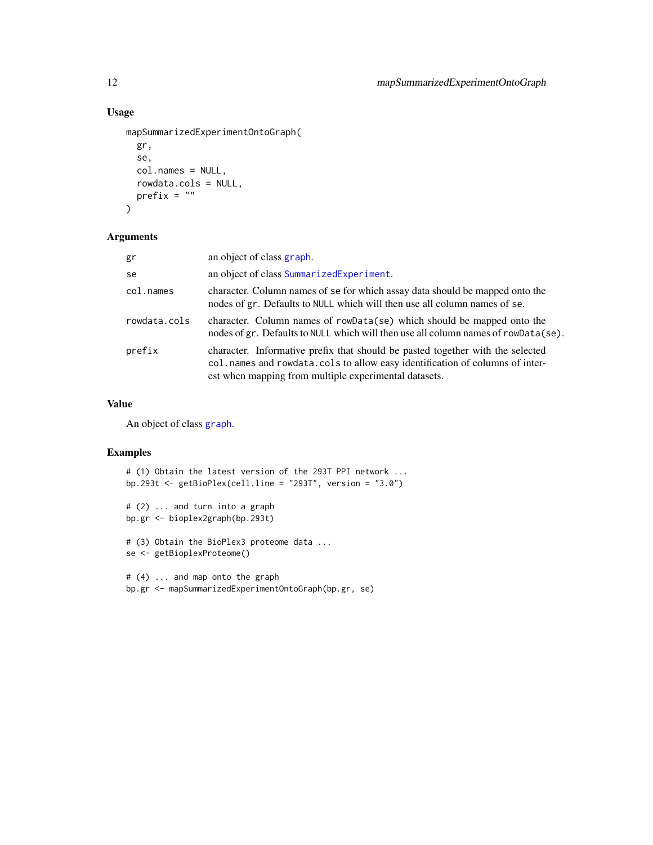#### Usage

```
mapSummarizedExperimentOntoGraph(
 gr,
  se,
 col.names = NULL,
 rowdata.cols = NULL,
 prefix = "")
```
#### Arguments

| gr           | an object of class graph.                                                                                                                                                                                               |
|--------------|-------------------------------------------------------------------------------------------------------------------------------------------------------------------------------------------------------------------------|
| se           | an object of class SummarizedExperiment.                                                                                                                                                                                |
| col.names    | character. Column names of se for which assay data should be mapped onto the<br>nodes of gr. Defaults to NULL which will then use all column names of se.                                                               |
| rowdata.cols | character. Column names of rowData(se) which should be mapped onto the<br>nodes of gr. Defaults to NULL which will then use all column names of rowData(se).                                                            |
| prefix       | character. Informative prefix that should be pasted together with the selected<br>col.names and rowdata.cols to allow easy identification of columns of inter-<br>est when mapping from multiple experimental datasets. |

#### Value

An object of class [graph](#page-0-0).

#### Examples

```
# (1) Obtain the latest version of the 293T PPI network ...
bp.293t \leq getBioPlex(cell.line = "293T", version = "3.0")
# (2) ... and turn into a graph
bp.gr <- bioplex2graph(bp.293t)
# (3) Obtain the BioPlex3 proteome data ...
se <- getBioplexProteome()
# (4) ... and map onto the graph
bp.gr <- mapSummarizedExperimentOntoGraph(bp.gr, se)
```
<span id="page-11-0"></span>